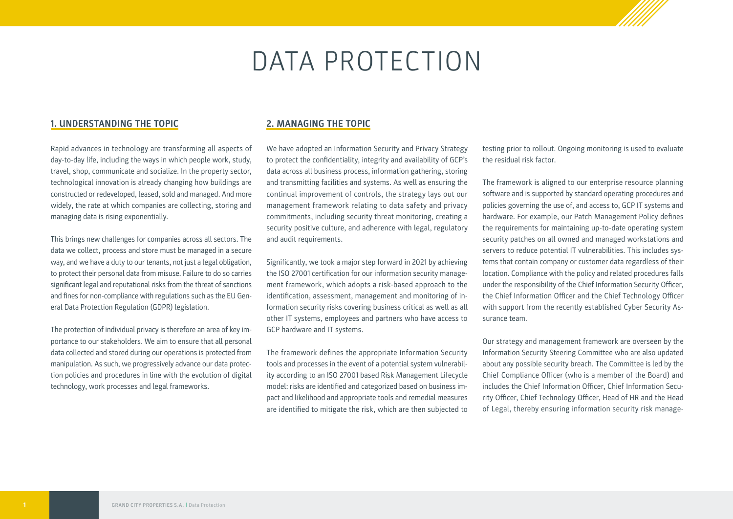# DATA PROTECTION

### **1. UNDERSTANDING THE TOPIC**

Rapid advances in technology are transforming all aspects of day-to-day life, including the ways in which people work, study, travel, shop, communicate and socialize. In the property sector, technological innovation is already changing how buildings are constructed or redeveloped, leased, sold and managed. And more widely, the rate at which companies are collecting, storing and managing data is rising exponentially.

This brings new challenges for companies across all sectors. The data we collect, process and store must be managed in a secure way, and we have a duty to our tenants, not just a legal obligation, to protect their personal data from misuse. Failure to do so carries significant legal and reputational risks from the threat of sanctions and fines for non-compliance with regulations such as the EU General Data Protection Regulation (GDPR) legislation.

The protection of individual privacy is therefore an area of key importance to our stakeholders. We aim to ensure that all personal data collected and stored during our operations is protected from manipulation. As such, we progressively advance our data protection policies and procedures in line with the evolution of digital technology, work processes and legal frameworks.

#### **2. MANAGING THE TOPIC**

We have adopted an Information Security and Privacy Strategy to protect the confidentiality, integrity and availability of GCP's data across all business process, information gathering, storing and transmitting facilities and systems. As well as ensuring the continual improvement of controls, the strategy lays out our management framework relating to data safety and privacy commitments, including security threat monitoring, creating a security positive culture, and adherence with legal, regulatory and audit requirements.

Significantly, we took a major step forward in 2021 by achieving the ISO 27001 certification for our information security management framework, which adopts a risk-based approach to the identification, assessment, management and monitoring of information security risks covering business critical as well as all other IT systems, employees and partners who have access to GCP hardware and IT systems.

The framework defines the appropriate Information Security tools and processes in the event of a potential system vulnerability according to an ISO 27001 based Risk Management Lifecycle model: risks are identified and categorized based on business impact and likelihood and appropriate tools and remedial measures are identified to mitigate the risk, which are then subjected to

testing prior to rollout. Ongoing monitoring is used to evaluate the residual risk factor.

The framework is aligned to our enterprise resource planning software and is supported by standard operating procedures and policies governing the use of, and access to, GCP IT systems and hardware. For example, our Patch Management Policy defines the requirements for maintaining up-to-date operating system security patches on all owned and managed workstations and servers to reduce potential IT vulnerabilities. This includes systems that contain company or customer data regardless of their location. Compliance with the policy and related procedures falls under the responsibility of the Chief Information Security Officer, the Chief Information Officer and the Chief Technology Officer with support from the recently established Cyber Security Assurance team.

Our strategy and management framework are overseen by the Information Security Steering Committee who are also updated about any possible security breach. The Committee is led by the Chief Compliance Officer (who is a member of the Board) and includes the Chief Information Officer, Chief Information Security Officer, Chief Technology Officer, Head of HR and the Head of Legal, thereby ensuring information security risk manage-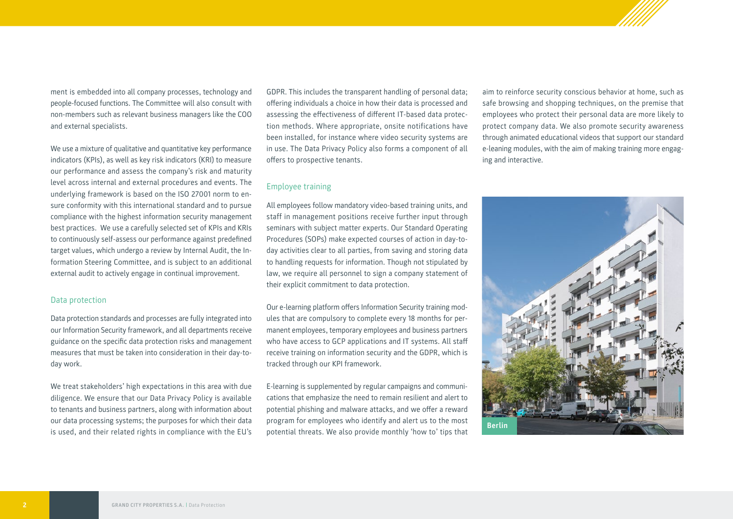ment is embedded into all company processes, technology and people-focused functions. The Committee will also consult with non-members such as relevant business managers like the COO and external specialists.

We use a mixture of qualitative and quantitative key performance indicators (KPIs), as well as key risk indicators (KRI) to measure our performance and assess the company's risk and maturity level across internal and external procedures and events. The underlying framework is based on the ISO 27001 norm to ensure conformity with this international standard and to pursue compliance with the highest information security management best practices. We use a carefully selected set of KPIs and KRIs to continuously self-assess our performance against predefined target values, which undergo a review by Internal Audit, the Information Steering Committee, and is subject to an additional external audit to actively engage in continual improvement.

#### Data protection

Data protection standards and processes are fully integrated into our Information Security framework, and all departments receive guidance on the specific data protection risks and management measures that must be taken into consideration in their day-today work.

We treat stakeholders' high expectations in this area with due diligence. We ensure that our Data Privacy Policy is available to tenants and business partners, along with information about our data processing systems; the purposes for which their data is used, and their related rights in compliance with the EU's

GDPR. This includes the transparent handling of personal data; offering individuals a choice in how their data is processed and assessing the effectiveness of different IT-based data protection methods. Where appropriate, onsite notifications have been installed, for instance where video security systems are in use. The Data Privacy Policy also forms a component of all offers to prospective tenants.

### Employee training

All employees follow mandatory video-based training units, and staff in management positions receive further input through seminars with subject matter experts. Our Standard Operating Procedures (SOPs) make expected courses of action in day-today activities clear to all parties, from saving and storing data to handling requests for information. Though not stipulated by law, we require all personnel to sign a company statement of their explicit commitment to data protection.

Our e-learning platform offers Information Security training modules that are compulsory to complete every 18 months for permanent employees, temporary employees and business partners who have access to GCP applications and IT systems. All staff receive training on information security and the GDPR, which is tracked through our KPI framework.

E-learning is supplemented by regular campaigns and communications that emphasize the need to remain resilient and alert to potential phishing and malware attacks, and we offer a reward program for employees who identify and alert us to the most potential threats. We also provide monthly 'how to' tips that

aim to reinforce security conscious behavior at home, such as safe browsing and shopping techniques, on the premise that employees who protect their personal data are more likely to protect company data. We also promote security awareness through animated educational videos that support our standard e-leaning modules, with the aim of making training more engaging and interactive.

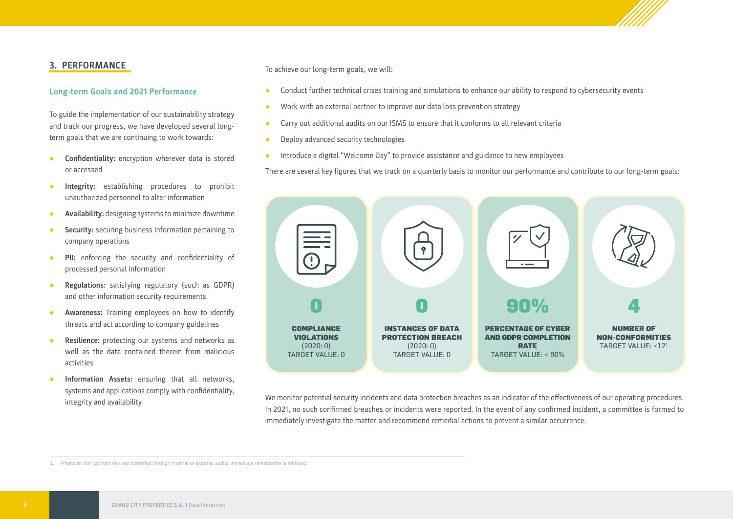## **3. PERFORMANCE**

#### **Long-term Goals and 2021 Performance**

To guide the implementation of our sustainability strategy and track our progress, we have developed several longterm goals that we are continuing to work towards:

- **● Confidentiality:** encryption wherever data is stored or accessed
- **● Integrity:** establishing procedures to prohibit unauthorized personnel to alter information
- **● Availability:** designing systems to minimize downtime
- **● Security:** securing business information pertaining to company operations
- **PII:** enforcing the security and confidentiality of processed personal information
- **● Regulations:** satisfying regulatory (such as GDPR) and other information security requirements
- **● Awareness:** Training employees on how to identify threats and act according to company guidelines
- **Resilience:** protecting our systems and networks as well as the data contained therein from malicious activities
- **● Information Assets:** ensuring that all networks, systems and applications comply with confidentiality, integrity and availability

To achieve our long-term goals, we will:

- **●** Conduct further technical crises training and simulations to enhance our ability to respond to cybersecurity events
- Work with an external partner to improve our data loss prevention strategy
- **●** Carry out additional audits on our ISMS to ensure that it conforms to all relevant criteria
- **●** Deploy advanced security technologies
- **●** Introduce a digital "Welcome Day" to provide assistance and guidance to new employees

There are several key figures that we track on a quarterly basis to monitor our performance and contribute to our long-term goals:



We monitor potential security incidents and data protection breaches as an indicator of the effectiveness of our operating procedures. In 2021, no such confirmed breaches or incidents were reported. In the event of any confirmed incident, a committee is formed to immediately investigate the matter and recommend remedial actions to prevent a similar occurrence.

1. Whenever non-conformities are identified through internal or external audits, immediate remediation is initiated.